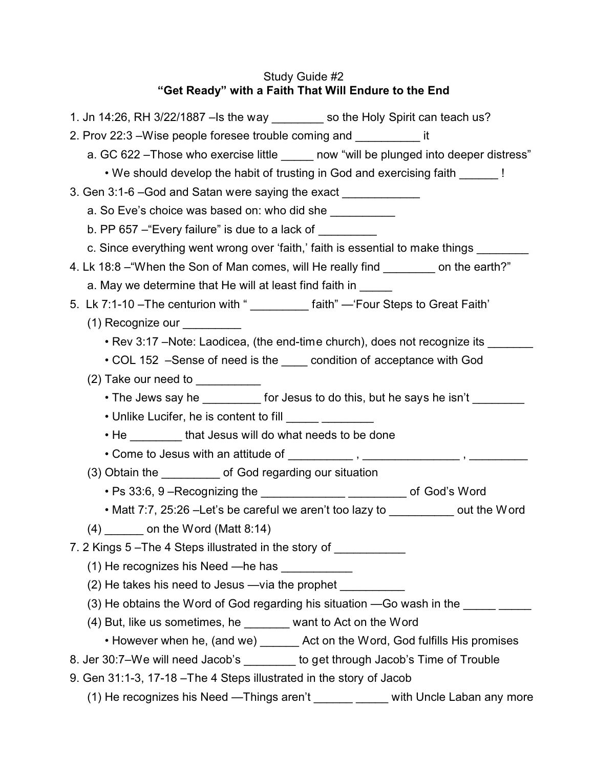# Study Guide #2 **"Get Ready" with a Faith That Will Endure to the End**

| 1. Jn 14:26, RH 3/22/1887 - Is the way ________ so the Holy Spirit can teach us?        |
|-----------------------------------------------------------------------------------------|
| 2. Prov 22:3 – Wise people foresee trouble coming and ______________ it                 |
| a. GC 622 - Those who exercise little ______ now "will be plunged into deeper distress" |
| . We should develop the habit of trusting in God and exercising faith ______!           |
| 3. Gen 3:1-6 - God and Satan were saying the exact _____________                        |
| a. So Eve's choice was based on: who did she                                            |
| b. PP $657 -$ "Every failure" is due to a lack of $\sqrt{2\pi}$                         |
| c. Since everything went wrong over 'faith,' faith is essential to make things ______   |
| 4. Lk 18:8 – "When the Son of Man comes, will He really find ________ on the earth?"    |
| a. May we determine that He will at least find faith in _____                           |
| 5. Lk 7:1-10 - The centurion with "<br><u> [aith</u> " - 'Four Steps to Great Faith'    |
| (1) Recognize our                                                                       |
| • Rev 3:17 - Note: Laodicea, (the end-time church), does not recognize its _____        |
| • COL 152 -Sense of need is the condition of acceptance with God                        |
| $(2)$ Take our need to $\sqrt{2}$                                                       |
| • The Jews say he __________ for Jesus to do this, but he says he isn't _______         |
| • Unlike Lucifer, he is content to fill ______ ________                                 |
| • He _________ that Jesus will do what needs to be done                                 |
|                                                                                         |
| (3) Obtain the _________ of God regarding our situation                                 |
| • Ps 33:6, 9 - Recognizing the ________________________________ of God's Word           |
| • Matt 7:7, 25:26 - Let's be careful we aren't too lazy to ___________ out the Word     |
| $(4)$ ________ on the Word (Matt 8:14)                                                  |
| 7. 2 Kings 5-The 4 Steps illustrated in the story of ___________                        |
| (1) He recognizes his Need —he has                                                      |
| (2) He takes his need to Jesus - via the prophet _______________________________        |
| (3) He obtains the Word of God regarding his situation -Go wash in the _________        |
| (4) But, like us sometimes, he _______ want to Act on the Word                          |
| • However when he, (and we) _______ Act on the Word, God fulfills His promises          |
| 8. Jer 30:7-We will need Jacob's ________ to get through Jacob's Time of Trouble        |
| 9. Gen 31:1-3, 17-18 - The 4 Steps illustrated in the story of Jacob                    |
| (1) He recognizes his Need -- Things aren't _______ _____ with Uncle Laban any more     |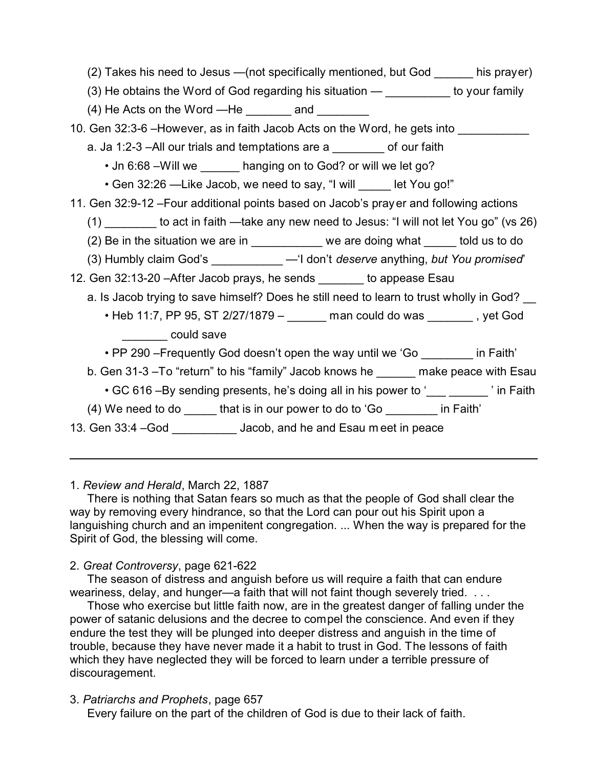| (2) Takes his need to Jesus — (not specifically mentioned, but God ______ his prayer)       |
|---------------------------------------------------------------------------------------------|
| (3) He obtains the Word of God regarding his situation $-$ __________ to your family        |
| $(4)$ He Acts on the Word - He $\_\_\_\_\_\_\$ and $\_\_\_\_\_\_\_\_\_\_\$                  |
| 10. Gen 32:3-6 - However, as in faith Jacob Acts on the Word, he gets into                  |
| a. Ja 1:2-3 - All our trials and temptations are a ________ of our faith                    |
| . Jn 6:68 - Will we ______ hanging on to God? or will we let go?                            |
| • Gen 32:26 - Like Jacob, we need to say, "I will _____ let You go!"                        |
| 11. Gen 32:9-12 - Four additional points based on Jacob's prayer and following actions      |
| $(1)$ ________ to act in faith —take any new need to Jesus: "I will not let You go" (vs 26) |
| (2) Be in the situation we are in ___________ we are doing what _____ told us to do         |
| (3) Humbly claim God's ___________ - 'I don't deserve anything, but You promised'           |
| 12. Gen 32:13-20 - After Jacob prays, he sends _______ to appease Esau                      |
| a. Is Jacob trying to save himself? Does he still need to learn to trust wholly in God?     |
| • Heb 11:7, PP 95, ST 2/27/1879 - _______ man could do was _______, yet God                 |
| could save                                                                                  |
| • PP 290 – Frequently God doesn't open the way until we 'Go ________ in Faith'              |
| b. Gen 31-3-To "return" to his "family" Jacob knows he ______ make peace with Esau          |
| • GC 616 –By sending presents, he's doing all in his power to '<br>                         |
| (4) We need to do ______ that is in our power to do to 'Go ________ in Faith'               |
| 13. Gen 33:4 -God ___________ Jacob, and he and Esau meet in peace                          |
|                                                                                             |

1. *Review and Herald*, March 22, 1887

There is nothing that Satan fears so much as that the people of God shall clear the way by removing every hindrance, so that the Lord can pour out his Spirit upon a languishing church and an impenitent congregation. ... When the way is prepared for the Spirit of God, the blessing will come.

## 2. *Great Controversy*, page 621-622

The season of distress and anguish before us will require a faith that can endure weariness, delay, and hunger—a faith that will not faint though severely tried. . . .

Those who exercise but little faith now, are in the greatest danger of falling under the power of satanic delusions and the decree to compel the conscience. And even if they endure the test they will be plunged into deeper distress and anguish in the time of trouble, because they have never made it a habit to trust in God. The lessons of faith which they have neglected they will be forced to learn under a terrible pressure of discouragement.

3. *Patriarchs and Prophets*, page 657

Every failure on the part of the children of God is due to their lack of faith.